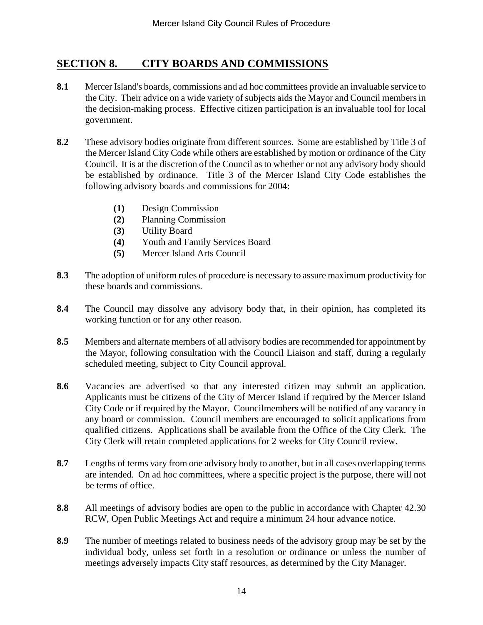## **SECTION 8. CITY BOARDS AND COMMISSIONS**

- **8.1** Mercer Island's boards, commissions and ad hoc committees provide an invaluable service to the City. Their advice on a wide variety of subjects aids the Mayor and Council members in the decision-making process. Effective citizen participation is an invaluable tool for local government.
- **8.2** These advisory bodies originate from different sources. Some are established by Title 3 of the Mercer Island City Code while others are established by motion or ordinance of the City Council. It is at the discretion of the Council as to whether or not any advisory body should be established by ordinance. Title 3 of the Mercer Island City Code establishes the following advisory boards and commissions for 2004:
	- **(1)** Design Commission
	- **(2)** Planning Commission
	- **(3)** Utility Board
	- **(4)** Youth and Family Services Board
	- **(5)** Mercer Island Arts Council
- **8.3** The adoption of uniform rules of procedure is necessary to assure maximum productivity for these boards and commissions.
- **8.4** The Council may dissolve any advisory body that, in their opinion, has completed its working function or for any other reason.
- **8.5** Members and alternate members of all advisory bodies are recommended for appointment by the Mayor, following consultation with the Council Liaison and staff, during a regularly scheduled meeting, subject to City Council approval.
- **8.6** Vacancies are advertised so that any interested citizen may submit an application. Applicants must be citizens of the City of Mercer Island if required by the Mercer Island City Code or if required by the Mayor. Councilmembers will be notified of any vacancy in any board or commission. Council members are encouraged to solicit applications from qualified citizens. Applications shall be available from the Office of the City Clerk. The City Clerk will retain completed applications for 2 weeks for City Council review.
- **8.7** Lengths of terms vary from one advisory body to another, but in all cases overlapping terms are intended. On ad hoc committees, where a specific project is the purpose, there will not be terms of office.
- **8.8** All meetings of advisory bodies are open to the public in accordance with Chapter 42.30 RCW, Open Public Meetings Act and require a minimum 24 hour advance notice.
- **8.9** The number of meetings related to business needs of the advisory group may be set by the individual body, unless set forth in a resolution or ordinance or unless the number of meetings adversely impacts City staff resources, as determined by the City Manager.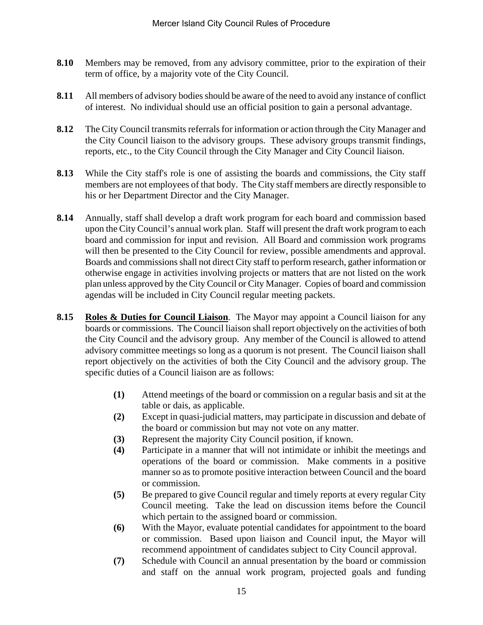- **8.10** Members may be removed, from any advisory committee, prior to the expiration of their term of office, by a majority vote of the City Council.
- 8.11 All members of advisory bodies should be aware of the need to avoid any instance of conflict of interest. No individual should use an official position to gain a personal advantage.
- **8.12** The City Council transmits referrals for information or action through the City Manager and the City Council liaison to the advisory groups. These advisory groups transmit findings, reports, etc., to the City Council through the City Manager and City Council liaison.
- **8.13** While the City staff's role is one of assisting the boards and commissions, the City staff members are not employees of that body. The City staff members are directly responsible to his or her Department Director and the City Manager.
- **8.14** Annually, staff shall develop a draft work program for each board and commission based upon the City Council's annual work plan. Staff will present the draft work program to each board and commission for input and revision. All Board and commission work programs will then be presented to the City Council for review, possible amendments and approval. Boards and commissions shall not direct City staff to perform research, gather information or otherwise engage in activities involving projects or matters that are not listed on the work plan unless approved by the City Council or City Manager. Copies of board and commission agendas will be included in City Council regular meeting packets.
- **8.15 Roles & Duties for Council Liaison**. The Mayor may appoint a Council liaison for any boards or commissions. The Council liaison shall report objectively on the activities of both the City Council and the advisory group. Any member of the Council is allowed to attend advisory committee meetings so long as a quorum is not present. The Council liaison shall report objectively on the activities of both the City Council and the advisory group. The specific duties of a Council liaison are as follows:
	- **(1)** Attend meetings of the board or commission on a regular basis and sit at the table or dais, as applicable.
	- **(2)** Except in quasi-judicial matters, may participate in discussion and debate of the board or commission but may not vote on any matter.
	- **(3)** Represent the majority City Council position, if known.
	- **(4)** Participate in a manner that will not intimidate or inhibit the meetings and operations of the board or commission. Make comments in a positive manner so as to promote positive interaction between Council and the board or commission.
	- **(5)** Be prepared to give Council regular and timely reports at every regular City Council meeting. Take the lead on discussion items before the Council which pertain to the assigned board or commission.
	- **(6)** With the Mayor, evaluate potential candidates for appointment to the board or commission. Based upon liaison and Council input, the Mayor will recommend appointment of candidates subject to City Council approval.
	- **(7)** Schedule with Council an annual presentation by the board or commission and staff on the annual work program, projected goals and funding